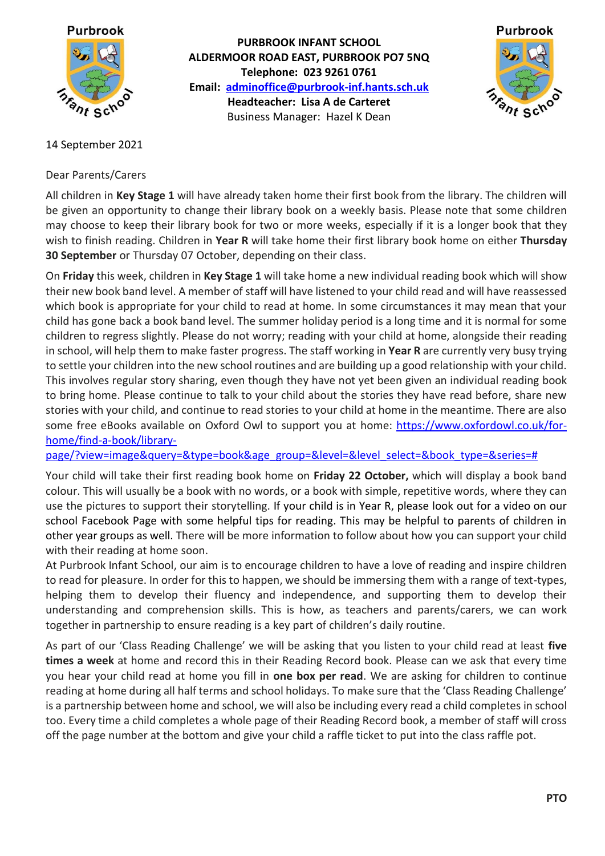

**PURBROOK INFANT SCHOOL ALDERMOOR ROAD EAST, PURBROOK PO7 5NQ Telephone: 023 9261 0761 Email: [adminoffice@purbrook-inf.hants.sch.uk](mailto:adminoffice@purbrook-inf.hants.sch.uk) Headteacher: Lisa A de Carteret** Business Manager: Hazel K Dean



## 14 September 2021

Dear Parents/Carers

All children in **Key Stage 1** will have already taken home their first book from the library. The children will be given an opportunity to change their library book on a weekly basis. Please note that some children may choose to keep their library book for two or more weeks, especially if it is a longer book that they wish to finish reading. Children in **Year R** will take home their first library book home on either **Thursday 30 September** or Thursday 07 October, depending on their class.

On **Friday** this week, children in **Key Stage 1** will take home a new individual reading book which will show their new book band level. A member of staff will have listened to your child read and will have reassessed which book is appropriate for your child to read at home. In some circumstances it may mean that your child has gone back a book band level. The summer holiday period is a long time and it is normal for some children to regress slightly. Please do not worry; reading with your child at home, alongside their reading in school, will help them to make faster progress. The staff working in **Year R** are currently very busy trying to settle your children into the new school routines and are building up a good relationship with your child. This involves regular story sharing, even though they have not yet been given an individual reading book to bring home. Please continue to talk to your child about the stories they have read before, share new stories with your child, and continue to read stories to your child at home in the meantime. There are also some free eBooks available on Oxford Owl to support you at home: [https://www.oxfordowl.co.uk/for](https://www.oxfordowl.co.uk/for-home/find-a-book/library-page/?view=image&query=&type=book&age_group=&level=&level_select=&book_type=&series=)[home/find-a-book/library-](https://www.oxfordowl.co.uk/for-home/find-a-book/library-page/?view=image&query=&type=book&age_group=&level=&level_select=&book_type=&series=)

[page/?view=image&query=&type=book&age\\_group=&level=&level\\_select=&book\\_type=&series=#](https://www.oxfordowl.co.uk/for-home/find-a-book/library-page/?view=image&query=&type=book&age_group=&level=&level_select=&book_type=&series=)

Your child will take their first reading book home on **Friday 22 October,** which will display a book band colour. This will usually be a book with no words, or a book with simple, repetitive words, where they can use the pictures to support their storytelling. If your child is in Year R, please look out for a video on our school Facebook Page with some helpful tips for reading. This may be helpful to parents of children in other year groups as well. There will be more information to follow about how you can support your child with their reading at home soon.

At Purbrook Infant School, our aim is to encourage children to have a love of reading and inspire children to read for pleasure. In order for this to happen, we should be immersing them with a range of text-types, helping them to develop their fluency and independence, and supporting them to develop their understanding and comprehension skills. This is how, as teachers and parents/carers, we can work together in partnership to ensure reading is a key part of children's daily routine.

As part of our 'Class Reading Challenge' we will be asking that you listen to your child read at least **five times a week** at home and record this in their Reading Record book. Please can we ask that every time you hear your child read at home you fill in **one box per read**. We are asking for children to continue reading at home during all half terms and school holidays. To make sure that the 'Class Reading Challenge' is a partnership between home and school, we will also be including every read a child completes in school too. Every time a child completes a whole page of their Reading Record book, a member of staff will cross off the page number at the bottom and give your child a raffle ticket to put into the class raffle pot.